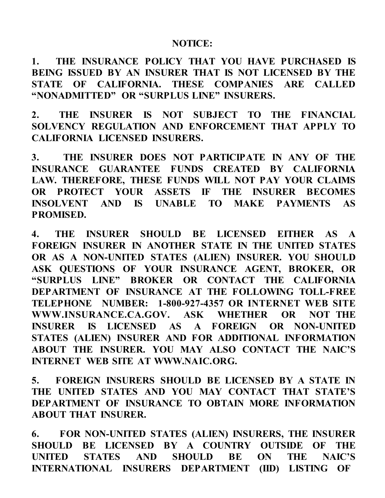## **NOTICE:**

**1. THE INSURANCE POLICY THAT YOU HAVE PURCHASED IS BEING ISSUED BY AN INSURER THAT IS NOT LICENSED BY THE STATE OF CALIFORNIA. THESE COMPANIES ARE CALLED "NONADMITTED" OR "SURPLUS LINE" INSURERS.**

**2. THE INSURER IS NOT SUBJECT TO THE FINANCIAL SOLVENCY REGULATION AND ENFORCEMENT THAT APPLY TO CALIFORNIA LICENSED INSURERS.**

**3. THE INSURER DOES NOT PARTICIPATE IN ANY OF THE INSURANCE GUARANTEE FUNDS CREATED BY CALIFORNIA LAW. THEREFORE, THESE FUNDS WILL NOT PAY YOUR CLAIMS OR PROTECT YOUR ASSETS IF THE INSURER BECOMES INSOLVENT AND IS UNABLE TO MAKE PAYMENTS AS PROMISED.**

**4. THE INSURER SHOULD BE LICENSED EITHER AS A FOREIGN INSURER IN ANOTHER STATE IN THE UNITED STATES OR AS A NON-UNITED STATES (ALIEN) INSURER. YOU SHOULD ASK QUESTIONS OF YOUR INSURANCE AGENT, BROKER, OR "SURPLUS LINE" BROKER OR CONTACT THE CALIFORNIA DEPARTMENT OF INSURANCE AT THE FOLLOWING TOLL-FREE TELEPHONE NUMBER: 1-800-927-4357 OR INTERNET WEB SITE WWW.INSURANCE.CA.GOV. ASK WHETHER OR NOT THE INSURER IS LICENSED AS A FOREIGN OR NON-UNITED STATES (ALIEN) INSURER AND FOR ADDITIONAL INFORMATION ABOUT THE INSURER. YOU MAY ALSO CONTACT THE NAIC'S INTERNET WEB SITE AT [WWW.NAIC.ORG.](http://www.naic.org/)**

**5. FOREIGN INSURERS SHOULD BE LICENSED BY A STATE IN THE UNITED STATES AND YOU MAY CONTACT THAT STATE'S DEPARTMENT OF INSURANCE TO OBTAIN MORE INFORMATION ABOUT THAT INSURER.**

**6. FOR NON-UNITED STATES (ALIEN) INSURERS, THE INSURER SHOULD BE LICENSED BY A COUNTRY OUTSIDE OF THE UNITED STATES AND SHOULD BE ON THE NAIC'S INTERNATIONAL INSURERS DEPARTMENT (IID) LISTING OF**